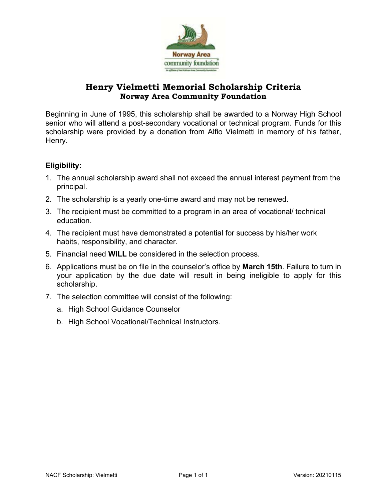

# **Henry Vielmetti Memorial Scholarship Criteria Norway Area Community Foundation**

Beginning in June of 1995, this scholarship shall be awarded to a Norway High School senior who will attend a post-secondary vocational or technical program. Funds for this scholarship were provided by a donation from Alfio Vielmetti in memory of his father, Henry.

## **Eligibility:**

- 1. The annual scholarship award shall not exceed the annual interest payment from the principal.
- 2. The scholarship is a yearly one-time award and may not be renewed.
- 3. The recipient must be committed to a program in an area of vocational/ technical education.
- 4. The recipient must have demonstrated a potential for success by his/her work habits, responsibility, and character.
- 5. Financial need **WILL** be considered in the selection process.
- 6. Applications must be on file in the counselor's office by **March 15th**. Failure to turn in your application by the due date will result in being ineligible to apply for this scholarship.
- 7. The selection committee will consist of the following:
	- a. High School Guidance Counselor
	- b. High School Vocational/Technical Instructors.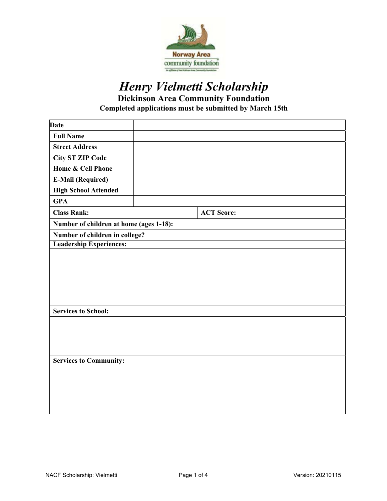

# *Henry Vielmetti Scholarship*  **Dickinson Area Community Foundation Completed applications must be submitted by March 15th**

| <b>Date</b>                             |  |                   |  |  |
|-----------------------------------------|--|-------------------|--|--|
| <b>Full Name</b>                        |  |                   |  |  |
| <b>Street Address</b>                   |  |                   |  |  |
| <b>City ST ZIP Code</b>                 |  |                   |  |  |
| Home & Cell Phone                       |  |                   |  |  |
| <b>E-Mail (Required)</b>                |  |                   |  |  |
| <b>High School Attended</b>             |  |                   |  |  |
| <b>GPA</b>                              |  |                   |  |  |
| <b>Class Rank:</b>                      |  | <b>ACT Score:</b> |  |  |
| Number of children at home (ages 1-18): |  |                   |  |  |
| Number of children in college?          |  |                   |  |  |
| <b>Leadership Experiences:</b>          |  |                   |  |  |
|                                         |  |                   |  |  |
| <b>Services to School:</b>              |  |                   |  |  |
|                                         |  |                   |  |  |
| <b>Services to Community:</b>           |  |                   |  |  |
|                                         |  |                   |  |  |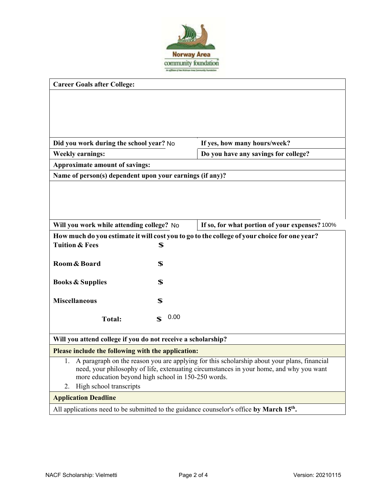

| <b>Career Goals after College:</b>                                                                   |                                      |  |  |  |
|------------------------------------------------------------------------------------------------------|--------------------------------------|--|--|--|
|                                                                                                      |                                      |  |  |  |
|                                                                                                      |                                      |  |  |  |
|                                                                                                      |                                      |  |  |  |
|                                                                                                      |                                      |  |  |  |
| Did you work during the school year? No                                                              | If yes, how many hours/week?         |  |  |  |
| <b>Weekly earnings:</b>                                                                              | Do you have any savings for college? |  |  |  |
| Approximate amount of savings:                                                                       |                                      |  |  |  |
| Name of person(s) dependent upon your earnings (if any)?                                             |                                      |  |  |  |
|                                                                                                      |                                      |  |  |  |
|                                                                                                      |                                      |  |  |  |
|                                                                                                      |                                      |  |  |  |
|                                                                                                      |                                      |  |  |  |
| Will you work while attending college? No<br>If so, for what portion of your expenses? 100%          |                                      |  |  |  |
| How much do you estimate it will cost you to go to the college of your choice for one year?          |                                      |  |  |  |
| <b>Tuition &amp; Fees</b><br>\$                                                                      |                                      |  |  |  |
| Room & Board<br>\$                                                                                   |                                      |  |  |  |
|                                                                                                      |                                      |  |  |  |
| \$<br><b>Books &amp; Supplies</b>                                                                    |                                      |  |  |  |
|                                                                                                      |                                      |  |  |  |
| <b>Miscellaneous</b><br>\$                                                                           |                                      |  |  |  |
| 0.00<br>$\mathbf S$<br><b>Total:</b>                                                                 |                                      |  |  |  |
|                                                                                                      |                                      |  |  |  |
| Will you attend college if you do not receive a scholarship?                                         |                                      |  |  |  |
| Please include the following with the application:                                                   |                                      |  |  |  |
| A paragraph on the reason you are applying for this scholarship about your plans, financial<br>1.    |                                      |  |  |  |
| need, your philosophy of life, extenuating circumstances in your home, and why you want              |                                      |  |  |  |
| more education beyond high school in 150-250 words.<br>High school transcripts<br>2.                 |                                      |  |  |  |
|                                                                                                      |                                      |  |  |  |
| <b>Application Deadline</b>                                                                          |                                      |  |  |  |
| All applications need to be submitted to the guidance counselor's office by March 15 <sup>th</sup> . |                                      |  |  |  |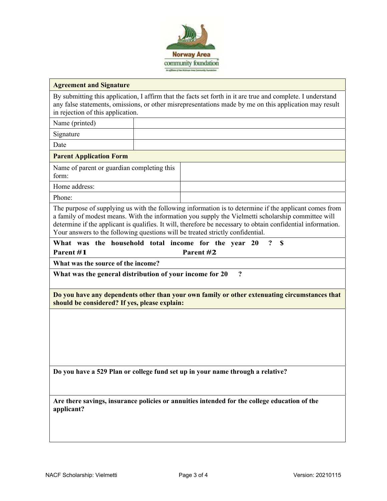

#### **Agreement and Signature**

By submitting this application, I affirm that the facts set forth in it are true and complete. I understand any false statements, omissions, or other misrepresentations made by me on this application may result in rejection of this application.

Name (printed)

Signature

Date

#### **Parent Application Form**

Name of parent or guardian completing this form:

Home address:

Phone:

The purpose of supplying us with the following information is to determine if the applicant comes from a family of modest means. With the information you supply the Vielmetti scholarship committee will determine if the applicant is qualifies. It will, therefore be necessary to obtain confidential information. Your answers to the following questions will be treated strictly confidential.

**What was the household total income for the year 20 ? \$ Parent #1 Parent #2** 

**What was the source of the income?** 

**What was the general distribution of your income for 20 ?**

**Do you have any dependents other than your own family or other extenuating circumstances that should be considered? If yes, please explain:** 

**Do you have a 529 Plan or college fund set up in your name through a relative?** 

**Are there savings, insurance policies or annuities intended for the college education of the applicant?**